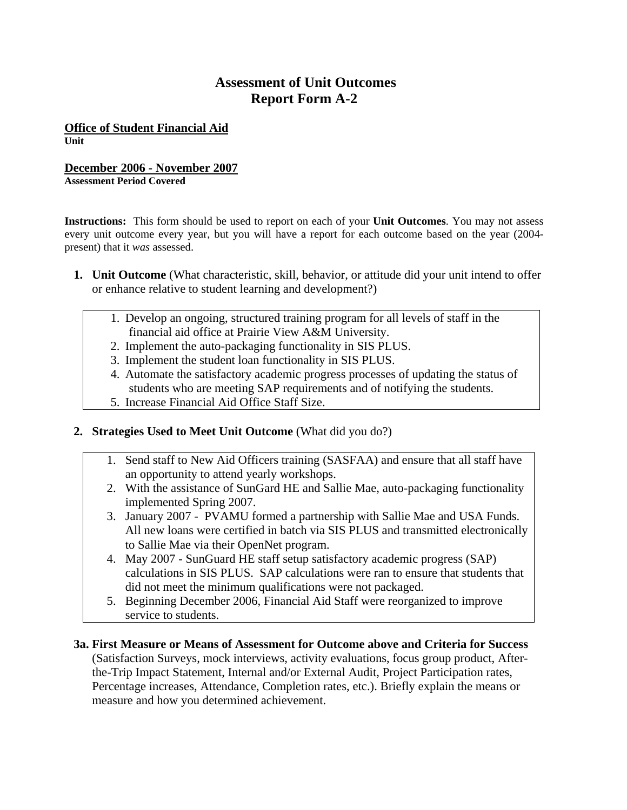## **Assessment of Unit Outcomes Report Form A-2**

**Office of Student Financial Aid Unit** 

## **December 2006 - November 2007**

**Assessment Period Covered** 

**Instructions:** This form should be used to report on each of your **Unit Outcomes**. You may not assess every unit outcome every year, but you will have a report for each outcome based on the year (2004 present) that it *was* assessed.

- **1. Unit Outcome** (What characteristic, skill, behavior, or attitude did your unit intend to offer or enhance relative to student learning and development?)
	- 1. Develop an ongoing, structured training program for all levels of staff in the financial aid office at Prairie View A&M University.
	- 2. Implement the auto-packaging functionality in SIS PLUS.
	- 3. Implement the student loan functionality in SIS PLUS.
	- 4. Automate the satisfactory academic progress processes of updating the status of students who are meeting SAP requirements and of notifying the students.
	- 5. Increase Financial Aid Office Staff Size.
- **2. Strategies Used to Meet Unit Outcome** (What did you do?)
	- 1. Send staff to New Aid Officers training (SASFAA) and ensure that all staff have an opportunity to attend yearly workshops.
	- 2. With the assistance of SunGard HE and Sallie Mae, auto-packaging functionality implemented Spring 2007.
	- 3. January 2007 PVAMU formed a partnership with Sallie Mae and USA Funds. All new loans were certified in batch via SIS PLUS and transmitted electronically to Sallie Mae via their OpenNet program.
	- 4. May 2007 SunGuard HE staff setup satisfactory academic progress (SAP) calculations in SIS PLUS. SAP calculations were ran to ensure that students that did not meet the minimum qualifications were not packaged.
	- 5. Beginning December 2006, Financial Aid Staff were reorganized to improve service to students.
- **3a. First Measure or Means of Assessment for Outcome above and Criteria for Success** (Satisfaction Surveys, mock interviews, activity evaluations, focus group product, Afterthe-Trip Impact Statement, Internal and/or External Audit, Project Participation rates, Percentage increases, Attendance, Completion rates, etc.). Briefly explain the means or measure and how you determined achievement.